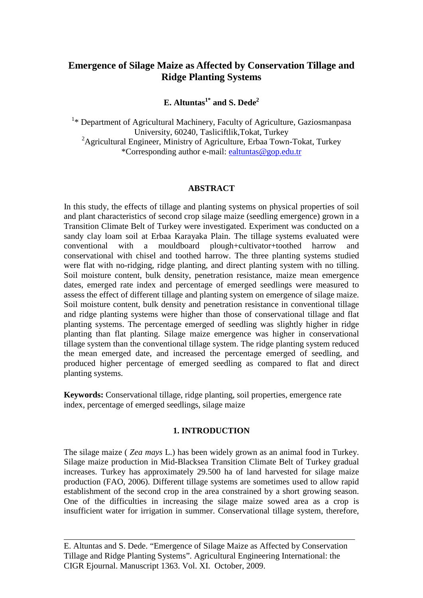# **Emergence of Silage Maize as Affected by Conservation Tillage and Ridge Planting Systems**

## **E. Altuntas1\* and S. Dede2**

<sup>1</sup>\* Department of Agricultural Machinery, Faculty of Agriculture, Gaziosmanpasa University, 60240, Tasliciftlik,Tokat, Turkey <sup>2</sup>Agricultural Engineer, Ministry of Agriculture, Erbaa Town-Tokat, Turkey \*Corresponding author e-mail: *[ealtuntas@gop.edu.tr](mailto:ealtuntas@gop.edu.tr)* 

## *0B***ABSTRACT**

In this study, the effects of tillage and planting systems on physical properties of soil and plant characteristics of second crop silage maize (seedling emergence) grown in a Transition Climate Belt of Turkey were investigated. Experiment was conducted on a sandy clay loam soil at Erbaa Karayaka Plain. The tillage systems evaluated were conventional with a mouldboard plough+cultivator+toothed harrow and conservational with chisel and toothed harrow. The three planting systems studied were flat with no-ridging, ridge planting, and direct planting system with no tilling. Soil moisture content, bulk density, penetration resistance, maize mean emergence dates, emerged rate index and percentage of emerged seedlings were measured to assess the effect of different tillage and planting system on emergence of silage maize. Soil moisture content, bulk density and penetration resistance in conventional tillage and ridge planting systems were higher than those of conservational tillage and flat planting systems. The percentage emerged of seedling was slightly higher in ridge planting than flat planting. Silage maize emergence was higher in conservational tillage system than the conventional tillage system. The ridge planting system reduced the mean emerged date, and increased the percentage emerged of seedling, and produced higher percentage of emerged seedling as compared to flat and direct planting systems.

**Keywords:** Conservational tillage, ridge planting, soil properties, emergence rate index, percentage of emerged seedlings, silage maize

## *3B***1. INTRODUCTION**

The silage maize ( *Zea mays* L.) has been widely grown as an animal food in Turkey. Silage maize production in Mid-Blacksea Transition Climate Belt of Turkey gradual increases. Turkey has approximately 29.500 ha of land harvested for silage maize production (FAO, 2006). Different tillage systems are sometimes used to allow rapid establishment of the second crop in the area constrained by a short growing season. One of the difficulties in increasing the silage maize sowed area as a crop is insufficient water for irrigation in summer. Conservational tillage system, therefore,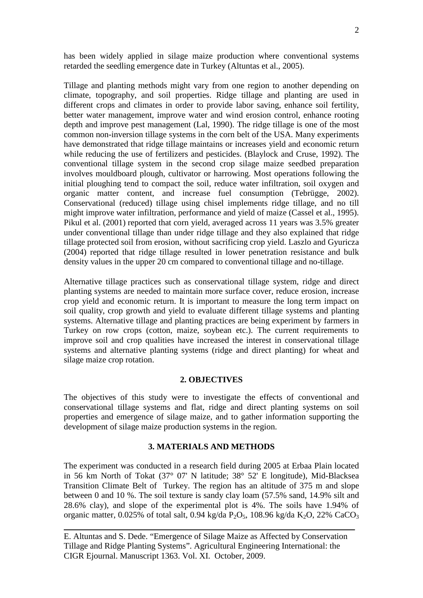has been widely applied in silage maize production where conventional systems retarded the seedling emergence date in Turkey (Altuntas et al., 2005).

Tillage and planting methods might vary from one region to another depending on climate, topography, and soil properties. Ridge tillage and planting are used in different crops and climates in order to provide labor saving, enhance soil fertility, better water management, improve water and wind erosion control, enhance rooting depth and improve pest management (Lal, 1990). The ridge tillage is one of the most common non-inversion tillage systems in the corn belt of the USA. Many experiments have demonstrated that ridge tillage maintains or increases yield and economic return while reducing the use of fertilizers and pesticides. (Blaylock and Cruse, 1992). The conventional tillage system in the second crop silage maize seedbed preparation involves mouldboard plough, cultivator or harrowing. Most operations following the initial ploughing tend to compact the soil, reduce water infiltration, soil oxygen and organic matter content, and increase fuel consumption (Tebrügge, 2002). Conservational (reduced) tillage using chisel implements ridge tillage, and no till might improve water infiltration, performance and yield of maize (Cassel et al., 1995). Pikul et al. (2001) reported that corn yield, averaged across 11 years was 3.5% greater under conventional tillage than under ridge tillage and they also explained that ridge tillage protected soil from erosion, without sacrificing crop yield. Laszlo and Gyuricza (2004) reported that ridge tillage resulted in lower penetration resistance and bulk density values in the upper 20 cm compared to conventional tillage and no-tillage.

Alternative tillage practices such as conservational tillage system, ridge and direct planting systems are needed to maintain more surface cover, reduce erosion, increase crop yield and economic return. It is important to measure the long term impact on soil quality, crop growth and yield to evaluate different tillage systems and planting systems. Alternative tillage and planting practices are being experiment by farmers in Turkey on row crops (cotton, maize, soybean etc.). The current requirements to improve soil and crop qualities have increased the interest in conservational tillage systems and alternative planting systems (ridge and direct planting) for wheat and silage maize crop rotation.

## **2. OBJECTIVES**

The objectives of this study were to investigate the effects of conventional and conservational tillage systems and flat, ridge and direct planting systems on soil properties and emergence of silage maize, and to gather information supporting the development of silage maize production systems in the region.

## **3. MATERIALS AND METHODS**

The experiment was conducted in a research field during 2005 at Erbaa Plain located in 56 km North of Tokat (37° 07' N latitude; 38° 52' E longitude), Mid-Blacksea Transition Climate Belt of Turkey. The region has an altitude of 375 m and slope between 0 and 10 %. The soil texture is sandy clay loam (57.5% sand, 14.9% silt and 28.6% clay), and slope of the experimental plot is 4%. The soils have 1.94% of organic matter, 0.025% of total salt, 0.94 kg/da  $P_2O_5$ , 108.96 kg/da K<sub>2</sub>O, 22% CaCO<sub>3</sub>

E. Altuntas and S. Dede. "Emergence of Silage Maize as Affected by Conservation Tillage and Ridge Planting Systems". Agricultural Engineering International: the CIGR Ejournal. Manuscript 1363. Vol. XI. October, 2009.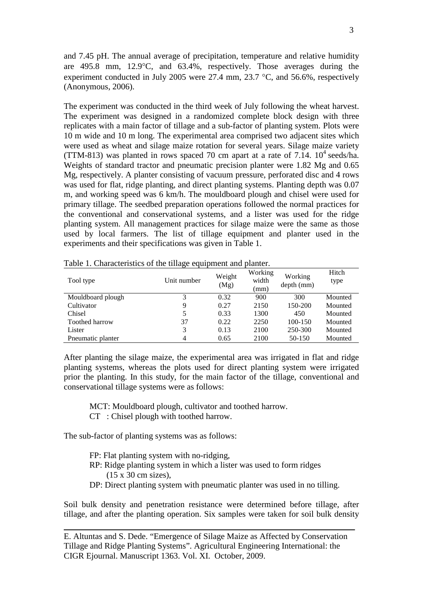and 7.45 pH. The annual average of precipitation, temperature and relative humidity are 495.8 mm, 12.9°C, and 63.4%, respectively. Those averages during the experiment conducted in July 2005 were 27.4 mm, 23.7 °C, and 56.6%, respectively (Anonymous, 2006).

The experiment was conducted in the third week of July following the wheat harvest. The experiment was designed in a randomized complete block design with three replicates with a main factor of tillage and a sub-factor of planting system. Plots were 10 m wide and 10 m long. The experimental area comprised two adjacent sites which were used as wheat and silage maize rotation for several years. Silage maize variety (TTM-813) was planted in rows spaced 70 cm apart at a rate of 7.14.  $10^4$  seeds/ha. Weights of standard tractor and pneumatic precision planter were 1.82 Mg and 0.65 Mg, respectively. A planter consisting of vacuum pressure, perforated disc and 4 rows was used for flat, ridge planting, and direct planting systems. Planting depth was 0.07 m, and working speed was 6 km/h. The mouldboard plough and chisel were used for primary tillage. The seedbed preparation operations followed the normal practices for the conventional and conservational systems, and a lister was used for the ridge planting system. All management practices for silage maize were the same as those used by local farmers. The list of tillage equipment and planter used in the experiments and their specifications was given in Table 1.

| Tool type         | Unit number | Weight<br>(Mg) | Working<br>width<br>(mm) | Working<br>depth (mm) | Hitch<br>type |
|-------------------|-------------|----------------|--------------------------|-----------------------|---------------|
| Mouldboard plough | 3           | 0.32           | 900                      | 300                   | Mounted       |
| Cultivator        | 9           | 0.27           | 2150                     | 150-200               | Mounted       |
| Chisel            | 5           | 0.33           | 1300                     | 450                   | Mounted       |
| Toothed harrow    | 37          | 0.22           | 2250                     | 100-150               | Mounted       |
| Lister            | 3           | 0.13           | 2100                     | 250-300               | Mounted       |
| Pneumatic planter | 4           | 0.65           | 2100                     | 50-150                | Mounted       |

Table 1. Characteristics of the tillage equipment and planter.

After planting the silage maize, the experimental area was irrigated in flat and ridge planting systems, whereas the plots used for direct planting system were irrigated prior the planting. In this study, for the main factor of the tillage, conventional and conservational tillage systems were as follows:

MCT: Mouldboard plough, cultivator and toothed harrow.

CT : Chisel plough with toothed harrow.

The sub-factor of planting systems was as follows:

- FP: Flat planting system with no-ridging,
- RP: Ridge planting system in which a lister was used to form ridges (15 x 30 cm sizes),
- DP: Direct planting system with pneumatic planter was used in no tilling.

Soil bulk density and penetration resistance were determined before tillage, after tillage, and after the planting operation. Six samples were taken for soil bulk density

E. Altuntas and S. Dede. "Emergence of Silage Maize as Affected by Conservation Tillage and Ridge Planting Systems". Agricultural Engineering International: the CIGR Ejournal. Manuscript 1363. Vol. XI. October, 2009.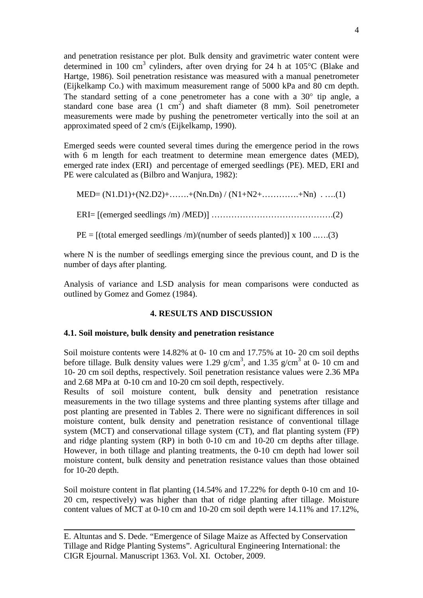and penetration resistance per plot. Bulk density and gravimetric water content were determined in 100 cm<sup>3</sup> cylinders, after oven drying for 24 h at  $105^{\circ}$ C (Blake and Hartge, 1986). Soil penetration resistance was measured with a manual penetrometer (Eijkelkamp Co.) with maximum measurement range of 5000 kPa and 80 cm depth. The standard setting of a cone penetrometer has a cone with a 30° tip angle, a standard cone base area  $(1 \text{ cm}^2)$  and shaft diameter  $(8 \text{ mm})$ . Soil penetrometer measurements were made by pushing the penetrometer vertically into the soil at an approximated speed of 2 cm/s (Eijkelkamp, 1990).

Emerged seeds were counted several times during the emergence period in the rows with 6 m length for each treatment to determine mean emergence dates (MED), emerged rate index (ERI) and percentage of emerged seedlings (PE). MED, ERI and PE were calculated as (Bilbro and Wanjura, 1982):

 MED= (N1.D1)+(N2.D2)+…….+(Nn.Dn) / (N1+N2+………….+Nn) . ….(1) ERI= [(emerged seedlings /m) /MED)] …………………………………….(2)

 $PE = [(\text{total emerged seedlings } / \text{m})/(\text{number of seeds planted})] \times 100 \dots (3)$ 

where N is the number of seedlings emerging since the previous count, and D is the number of days after planting.

Analysis of variance and LSD analysis for mean comparisons were conducted as outlined by Gomez and Gomez (1984).

### **4. RESULTS AND DISCUSSION**

### **4.1. Soil moisture, bulk density and penetration resistance**

Soil moisture contents were  $14.82\%$  at 0-10 cm and 17.75% at 10-20 cm soil depths before tillage. Bulk density values were 1.29  $g/cm^3$ , and 1.35  $g/cm^3$  at 0-10 cm and 10-20 cm soil depths, respectively. Soil penetration resistance values were 2.36 MPa and 2.68 MPa at 0-10 cm and 10-20 cm soil depth, respectively.

Results of soil moisture content, bulk density and penetration resistance measurements in the two tillage systems and three planting systems after tillage and post planting are presented in Tables 2. There were no significant differences in soil moisture content, bulk density and penetration resistance of conventional tillage system (MCT) and conservational tillage system (CT), and flat planting system (FP) and ridge planting system (RP) in both 0-10 cm and 10-20 cm depths after tillage. However, in both tillage and planting treatments, the 0-10 cm depth had lower soil moisture content, bulk density and penetration resistance values than those obtained for 10-20 depth.

Soil moisture content in flat planting (14.54% and 17.22% for depth 0-10 cm and 10- 20 cm, respectively) was higher than that of ridge planting after tillage. Moisture content values of MCT at 0-10 cm and 10-20 cm soil depth were 14.11% and 17.12%,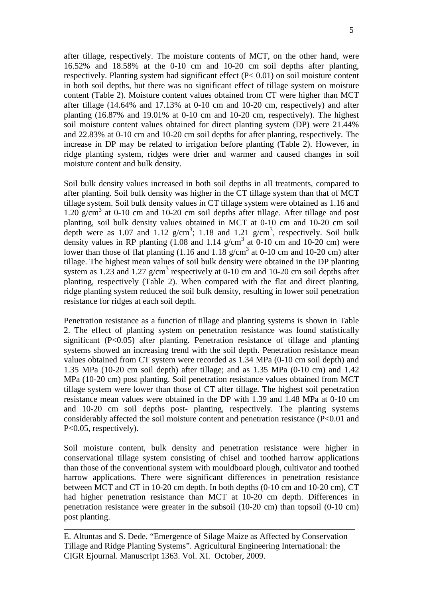after tillage, respectively. The moisture contents of MCT, on the other hand, were 16.52% and 18.58% at the 0-10 cm and 10-20 cm soil depths after planting, respectively. Planting system had significant effect (P< 0.01) on soil moisture content in both soil depths, but there was no significant effect of tillage system on moisture content (Table 2). Moisture content values obtained from CT were higher than MCT after tillage (14.64% and 17.13% at 0-10 cm and 10-20 cm, respectively) and after planting (16.87% and 19.01% at 0-10 cm and 10-20 cm, respectively). The highest soil moisture content values obtained for direct planting system (DP) were 21.44% and 22.83% at 0-10 cm and 10-20 cm soil depths for after planting, respectively. The increase in DP may be related to irrigation before planting (Table 2). However, in ridge planting system, ridges were drier and warmer and caused changes in soil moisture content and bulk density.

Soil bulk density values increased in both soil depths in all treatments, compared to after planting. Soil bulk density was higher in the CT tillage system than that of MCT tillage system. Soil bulk density values in CT tillage system were obtained as 1.16 and 1.20 g/cm<sup>3</sup> at 0-10 cm and 10-20 cm soil depths after tillage. After tillage and post planting, soil bulk density values obtained in MCT at 0-10 cm and 10-20 cm soil depth were as 1.07 and 1.12  $g/cm^3$ ; 1.18 and 1.21  $g/cm^3$ , respectively. Soil bulk density values in RP planting  $(1.08 \text{ and } 1.14 \text{ g/cm}^3 \text{ at } 0.10 \text{ cm} \text{ and } 10.20 \text{ cm})$  were lower than those of flat planting  $(1.16 \text{ and } 1.18 \text{ g/cm}^3 \text{ at } 0.10 \text{ cm and } 10.20 \text{ cm})$  after tillage. The highest mean values of soil bulk density were obtained in the DP planting system as 1.23 and 1.27  $g/cm<sup>3</sup>$  respectively at 0-10 cm and 10-20 cm soil depths after planting, respectively (Table 2). When compared with the flat and direct planting, ridge planting system reduced the soil bulk density, resulting in lower soil penetration resistance for ridges at each soil depth.

Penetration resistance as a function of tillage and planting systems is shown in Table 2. The effect of planting system on penetration resistance was found statistically significant  $(P<0.05)$  after planting. Penetration resistance of tillage and planting systems showed an increasing trend with the soil depth. Penetration resistance mean values obtained from CT system were recorded as 1.34 MPa (0-10 cm soil depth) and 1.35 MPa (10-20 cm soil depth) after tillage; and as 1.35 MPa (0-10 cm) and 1.42 MPa (10-20 cm) post planting. Soil penetration resistance values obtained from MCT tillage system were lower than those of CT after tillage. The highest soil penetration resistance mean values were obtained in the DP with 1.39 and 1.48 MPa at 0-10 cm and 10-20 cm soil depths post- planting, respectively. The planting systems considerably affected the soil moisture content and penetration resistance (P<0.01 and P<0.05, respectively).

Soil moisture content, bulk density and penetration resistance were higher in conservational tillage system consisting of chisel and toothed harrow applications than those of the conventional system with mouldboard plough, cultivator and toothed harrow applications. There were significant differences in penetration resistance between MCT and CT in 10-20 cm depth. In both depths (0-10 cm and 10-20 cm), CT had higher penetration resistance than MCT at 10-20 cm depth. Differences in penetration resistance were greater in the subsoil (10-20 cm) than topsoil (0-10 cm) post planting.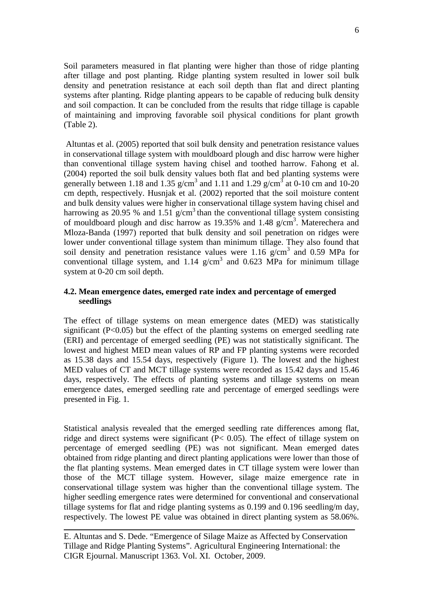Soil parameters measured in flat planting were higher than those of ridge planting after tillage and post planting. Ridge planting system resulted in lower soil bulk density and penetration resistance at each soil depth than flat and direct planting systems after planting. Ridge planting appears to be capable of reducing bulk density and soil compaction. It can be concluded from the results that ridge tillage is capable of maintaining and improving favorable soil physical conditions for plant growth (Table 2).

Altuntas et al. (2005) reported that soil bulk density and penetration resistance values in conservational tillage system with mouldboard plough and disc harrow were higher than conventional tillage system having chisel and toothed harrow. Fahong et al. (2004) reported the soil bulk density values both flat and bed planting systems were generally between 1.18 and 1.35 g/cm<sup>3</sup> and 1.11 and 1.29 g/cm<sup>3</sup> at 0-10 cm and 10-20 cm depth, respectively. Husnjak et al. (2002) reported that the soil moisture content and bulk density values were higher in conservational tillage system having chisel and harrowing as 20.95 % and 1.51 g/cm<sup>3</sup> than the conventional tillage system consisting of mouldboard plough and disc harrow as 19.35% and 1.48 g/cm<sup>3</sup>. Materechera and Mloza-Banda (1997) reported that bulk density and soil penetration on ridges were lower under conventional tillage system than minimum tillage. They also found that soil density and penetration resistance values were 1.16  $g/cm<sup>3</sup>$  and 0.59 MPa for conventional tillage system, and  $1.14$  g/cm<sup>3</sup> and  $0.623$  MPa for minimum tillage system at 0-20 cm soil depth.

## **4.2. Mean emergence dates, emerged rate index and percentage of emerged seedlings**

The effect of tillage systems on mean emergence dates (MED) was statistically significant  $(P<0.05)$  but the effect of the planting systems on emerged seedling rate (ERI) and percentage of emerged seedling (PE) was not statistically significant. The lowest and highest MED mean values of RP and FP planting systems were recorded as 15.38 days and 15.54 days, respectively (Figure 1). The lowest and the highest MED values of CT and MCT tillage systems were recorded as 15.42 days and 15.46 days, respectively. The effects of planting systems and tillage systems on mean emergence dates, emerged seedling rate and percentage of emerged seedlings were presented in Fig. 1.

Statistical analysis revealed that the emerged seedling rate differences among flat, ridge and direct systems were significant (P< 0.05). The effect of tillage system on percentage of emerged seedling (PE) was not significant. Mean emerged dates obtained from ridge planting and direct planting applications were lower than those of the flat planting systems. Mean emerged dates in CT tillage system were lower than those of the MCT tillage system. However, silage maize emergence rate in conservational tillage system was higher than the conventional tillage system. The higher seedling emergence rates were determined for conventional and conservational tillage systems for flat and ridge planting systems as 0.199 and 0.196 seedling/m day, respectively. The lowest PE value was obtained in direct planting system as 58.06%.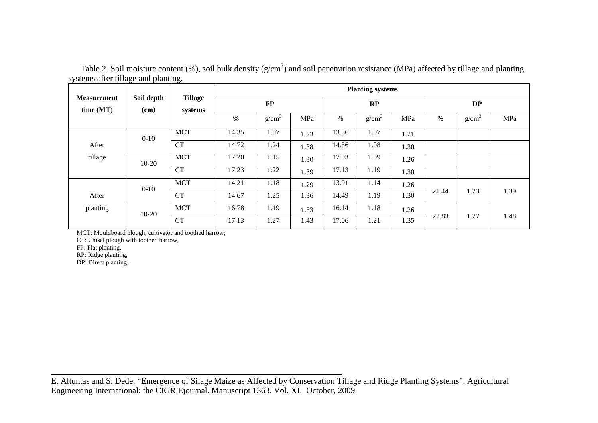Table 2. Soil moisture content  $(\%)$ , soil bulk density  $(g/cm^3)$  and soil penetration resistance (MPa) affected by tillage and planting systems after tillage and planting.

| <b>Measurement</b> | Soil depth<br>(cm) | <b>Tillage</b><br>systems | <b>Planting systems</b> |                   |      |       |                   |      |       |                   |      |
|--------------------|--------------------|---------------------------|-------------------------|-------------------|------|-------|-------------------|------|-------|-------------------|------|
| time (MT)          |                    |                           | $\bf FP$                |                   | RP   |       | <b>DP</b>         |      |       |                   |      |
|                    |                    |                           | $\%$                    | g/cm <sup>3</sup> | MPa  | $\%$  | g/cm <sup>3</sup> | MPa  | %     | g/cm <sup>3</sup> | MPa  |
|                    | $0 - 10$<br>After  | <b>MCT</b>                | 14.35                   | 1.07              | 1.23 | 13.86 | 1.07              | 1.21 |       |                   |      |
|                    |                    | <b>CT</b>                 | 14.72                   | 1.24              | 1.38 | 14.56 | 1.08              | 1.30 |       |                   |      |
| tillage            | $10-20$            | <b>MCT</b>                | 17.20                   | 1.15              | 1.30 | 17.03 | 1.09              | 1.26 |       |                   |      |
|                    |                    | <b>CT</b>                 | 17.23                   | 1.22              | 1.39 | 17.13 | 1.19              | 1.30 |       |                   |      |
|                    | $0 - 10$           | <b>MCT</b>                | 14.21                   | 1.18              | 1.29 | 13.91 | 1.14              | 1.26 | 21.44 | 1.23              | 1.39 |
| After              |                    | <b>CT</b>                 | 14.67                   | 1.25              | 1.36 | 14.49 | 1.19              | 1.30 |       |                   |      |
| planting           | $10-20$            | <b>MCT</b>                | 16.78                   | 1.19              | 1.33 | 16.14 | 1.18              | 1.26 | 22.83 | 1.27              | 1.48 |
|                    |                    | <b>CT</b>                 | 17.13                   | 1.27              | 1.43 | 17.06 | 1.21              | 1.35 |       |                   |      |

MCT: Mouldboard plough, cultivator and toothed harrow;

CT: Chisel plough with toothed harrow,

FP: Flat planting,

RP: Ridge planting,

DP: Direct planting.

E. Altuntas and S. Dede. "Emergence of Silage Maize as Affected by Conservation Tillage and Ridge Planting Systems". Agricultural Engineering International: the CIGR Ejournal. Manuscript 1363. Vol. XI. October, 2009.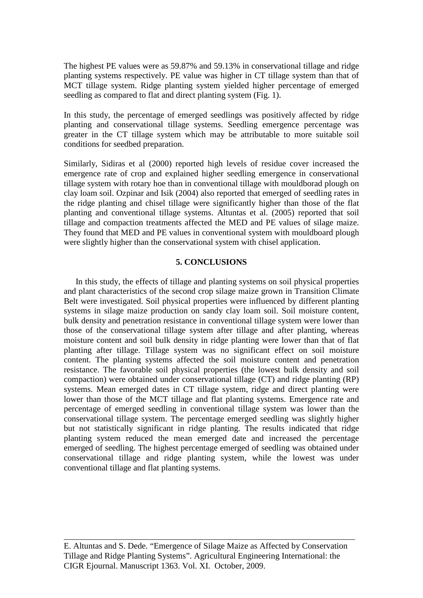The highest PE values were as 59.87% and 59.13% in conservational tillage and ridge planting systems respectively. PE value was higher in CT tillage system than that of MCT tillage system. Ridge planting system yielded higher percentage of emerged seedling as compared to flat and direct planting system (Fig. 1).

In this study, the percentage of emerged seedlings was positively affected by ridge planting and conservational tillage systems. Seedling emergence percentage was greater in the CT tillage system which may be attributable to more suitable soil conditions for seedbed preparation.

Similarly, Sidiras et al (2000) reported high levels of residue cover increased the emergence rate of crop and explained higher seedling emergence in conservational tillage system with rotary hoe than in conventional tillage with mouldborad plough on clay loam soil. Ozpinar and Isik (2004) also reported that emerged of seedling rates in the ridge planting and chisel tillage were significantly higher than those of the flat planting and conventional tillage systems. Altuntas et al. (2005) reported that soil tillage and compaction treatments affected the MED and PE values of silage maize. They found that MED and PE values in conventional system with mouldboard plough were slightly higher than the conservational system with chisel application.

## **5. CONCLUSIONS**

 In this study, the effects of tillage and planting systems on soil physical properties and plant characteristics of the second crop silage maize grown in Transition Climate Belt were investigated. Soil physical properties were influenced by different planting systems in silage maize production on sandy clay loam soil. Soil moisture content, bulk density and penetration resistance in conventional tillage system were lower than those of the conservational tillage system after tillage and after planting, whereas moisture content and soil bulk density in ridge planting were lower than that of flat planting after tillage. Tillage system was no significant effect on soil moisture content. The planting systems affected the soil moisture content and penetration resistance. The favorable soil physical properties (the lowest bulk density and soil compaction) were obtained under conservational tillage (CT) and ridge planting (RP) systems. Mean emerged dates in CT tillage system, ridge and direct planting were lower than those of the MCT tillage and flat planting systems. Emergence rate and percentage of emerged seedling in conventional tillage system was lower than the conservational tillage system. The percentage emerged seedling was slightly higher but not statistically significant in ridge planting. The results indicated that ridge planting system reduced the mean emerged date and increased the percentage emerged of seedling. The highest percentage emerged of seedling was obtained under conservational tillage and ridge planting system, while the lowest was under conventional tillage and flat planting systems.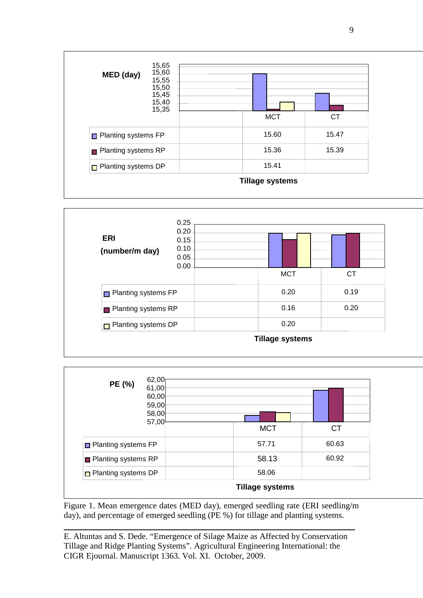





Figure 1. Mean emergence dates (MED day), emerged seedling rate (ERI seedling/m day), and percentage of emerged seedling (PE %) for tillage and planting systems.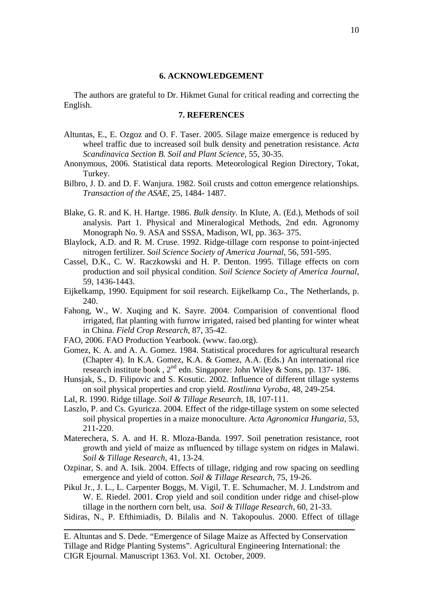#### **6. ACKNOWLEDGEMENT**

The authors are grateful to Dr. Hikmet Gunal for critical reading and correcting the English.

## **7. REFERENCES**

- Altuntas, E., E. Ozgoz and O. F. Taser. 2005. Silage maize emergence is reduced by wheel traffic due to increased soil bulk density and penetration resistance. *Acta Scandinavica Section B. Soil and Plant Science,* 55, 30-35.
- Anonymous, 2006. Statistical data reports. Meteorological Region Directory, Tokat, Turkey.
- Bilbro, J. D. and D. F. Wanjura. 1982. Soil crusts and cotton emergence relationships. *Transaction of the ASAE, 25, 1484-1487.*
- Blake, G. R. and K. H. Hartge. 1986. *Bulk density.* In Klute, A. (Ed.), Methods of soil analysis. Part 1. Physical and Mineralogical Methods, 2nd edn. Agronomy Monograph No. 9. ASA and SSSA, Madison, WI, pp. 363-375.
- Blaylock, A.D. and R. M. Cruse. 1992. Ridge-tillage corn response to point-injected nitrogen fertilizer. *Soil Science Society of America Journal,* 56, 591-595.
- Cassel, D.K., C. W. Raczkowski and H. P. Denton. 1995. Tillage effects on corn production and soil physical condition. *Soil Science Society of America Journal,* 59, 1436-1443.
- Eijkelkamp, 1990. Equipment for soil research. Eijkelkamp Co., The Netherlands, p. 240.
- Fahong, W., W. Xuqing and K. Sayre. 2004. Comparision of conventional flood irrigated, flat planting with furrow irrigated, raised bed planting for winter wheat in China. *Field Crop Research,* 87, 35-42.
- FAO, 2006. FAO Production Yearbook. (www. fao.org).
- Gomez, K. A. and A. A. Gomez. 1984. Statistical procedures for agricultural research (Chapter 4). In K.A. Gomez, K.A. & Gomez, A.A. (Eds.) An international rice research institute book,  $2^{nd}$  edn. Singapore: John Wiley & Sons, pp. 137-186.
- Hunsjak, S., D. Filipovic and S. Kosutic. 2002. Influence of different tillage systems on soil physical properties and crop yield. *Rostlinna Vyroba,* 48, 249-254.
- Lal, R. 1990. Ridge tillage. *Soil & Tillage Research,* 18, 107-111.
- Laszlo, P. and Cs. Gyuricza. 2004. Effect of the ridge-tillage system on some selected soil physical properties in a maize monoculture. *Acta Agronomica Hungaria,* 53, 211-220.
- Materechera, S. A. and H. R. Mloza-Banda. 1997. Soil penetration resistance, root growth and yield of maize as ınfluenced by tillage system on ridges in Malawi. *Soil & Tillage Research,* 41, 13-24.
- Ozpinar, S. and A. Isik. 2004. Effects of tillage, ridging and row spacing on seedling emergence and yield of cotton. *Soil & Tillage Research,* 75, 19-26.
- Pikul Jr., J. L., L. Carpenter Boggs, M. Vigil, T. E. Schumacher, M. J. Lındstrom and W. E. Riedel. 2001. Crop yield and soil condition under ridge and chisel-plow tillage in the northern corn belt, usa. *Soil & Tillage Research*, 60, 21-33.
- Sidiras, N., P. Efthimiadis, D. Bilalis and N. Takopoulus. 2000. Effect of tillage

E. Altuntas and S. Dede. "Emergence of Silage Maize as Affected by Conservation Tillage and Ridge Planting Systems". Agricultural Engineering International: the CIGR Ejournal. Manuscript 1363. Vol. XI. October, 2009.